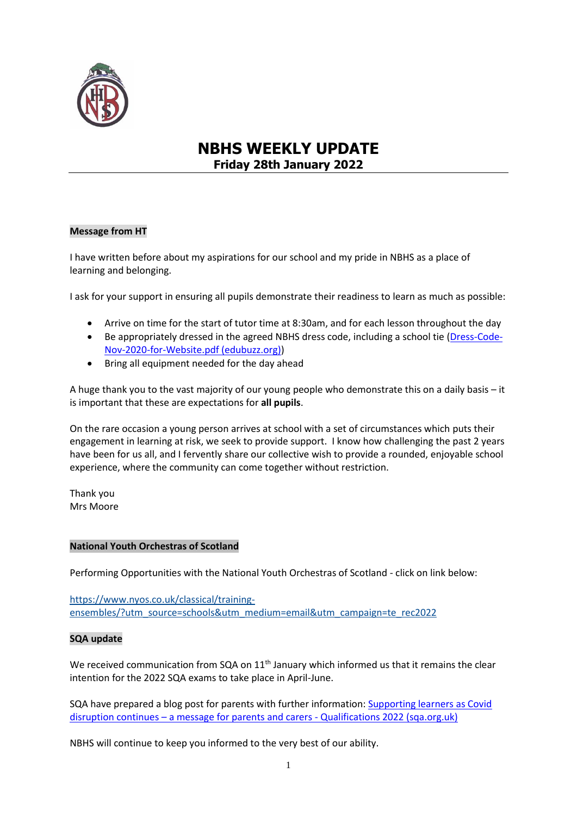

# **NBHS WEEKLY UPDATE Friday 28th January 2022**

## **Message from HT**

I have written before about my aspirations for our school and my pride in NBHS as a place of learning and belonging.

I ask for your support in ensuring all pupils demonstrate their readiness to learn as much as possible:

- Arrive on time for the start of tutor time at 8:30am, and for each lesson throughout the day
- Be appropriately dressed in the agreed NBHS dress code, including a school tie [\(Dress-Code-](https://www.edubuzz.org/northberwickhigh/wp-content/blogs.dir/894/files/2020/11/Dress-Code-Nov-2020-for-Website.pdf)[Nov-2020-for-Website.pdf \(edubuzz.org\)\)](https://www.edubuzz.org/northberwickhigh/wp-content/blogs.dir/894/files/2020/11/Dress-Code-Nov-2020-for-Website.pdf)
- Bring all equipment needed for the day ahead

A huge thank you to the vast majority of our young people who demonstrate this on a daily basis – it is important that these are expectations for **all pupils**.

On the rare occasion a young person arrives at school with a set of circumstances which puts their engagement in learning at risk, we seek to provide support. I know how challenging the past 2 years have been for us all, and I fervently share our collective wish to provide a rounded, enjoyable school experience, where the community can come together without restriction.

Thank you Mrs Moore

## **National Youth Orchestras of Scotland**

Performing Opportunities with the National Youth Orchestras of Scotland - click on link below:

[https://www.nyos.co.uk/classical/training](https://www.nyos.co.uk/classical/training-ensembles/?utm_source=schools&utm_medium=email&utm_campaign=te_rec2022)[ensembles/?utm\\_source=schools&utm\\_medium=email&utm\\_campaign=te\\_rec2022](https://www.nyos.co.uk/classical/training-ensembles/?utm_source=schools&utm_medium=email&utm_campaign=te_rec2022)

## **SQA update**

We received communication from SQA on  $11<sup>th</sup>$  January which informed us that it remains the clear intention for the 2022 SQA exams to take place in April-June.

SQA have prepared a blog post for parents with further information: Supporting learners as Covid disruption continues – [a message for parents and carers -](https://blogs.sqa.org.uk/qualifications2022/supporting-learners-as-covid-disruption-continues-a-message-for-parents-and-carers/?utm_source=sqanews&utm_medium=email&utm_campaign=nq2022&utm_content=NQ2022&mkt_tok=NTA1LVlCSC0zMDAAAAGB8yQBgsirqw9Ome4xOyNapdPj2R9N--UyW_f-D5wClEA3kfobXxdiYZHuINl0nNh7rI1-Gu5fG6m1ojkJTljvVPn4ldMWBb9tjbS2TRjf) Qualifications 2022 (sqa.org.uk)

NBHS will continue to keep you informed to the very best of our ability.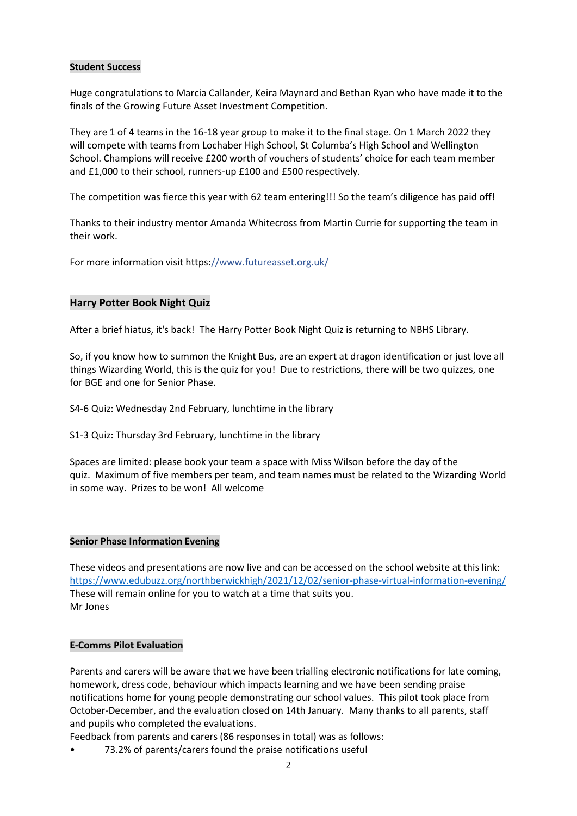## **Student Success**

Huge congratulations to Marcia Callander, Keira Maynard and Bethan Ryan who have made it to the finals of the Growing Future Asset Investment Competition.

They are 1 of 4 teams in the 16-18 year group to make it to the final stage. On 1 March 2022 they will compete with teams from Lochaber High School, St Columba's High School and Wellington School. Champions will receive £200 worth of vouchers of students' choice for each team member and £1,000 to their school, runners-up £100 and £500 respectively.

The competition was fierce this year with 62 team entering!!! So the team's diligence has paid off!

Thanks to their industry mentor Amanda Whitecross from Martin Currie for supporting the team in their work.

For more information visit https://www.futureasset.org.uk/

## **Harry Potter Book Night Quiz**

After a brief hiatus, it's back! The Harry Potter Book Night Quiz is returning to NBHS Library.

So, if you know how to summon the Knight Bus, are an expert at dragon identification or just love all things Wizarding World, this is the quiz for you! Due to restrictions, there will be two quizzes, one for BGE and one for Senior Phase.

S4-6 Quiz: Wednesday 2nd February, lunchtime in the library

S1-3 Quiz: Thursday 3rd February, lunchtime in the library

Spaces are limited: please book your team a space with Miss Wilson before the day of the quiz. Maximum of five members per team, and team names must be related to the Wizarding World in some way. Prizes to be won! All welcome

## **Senior Phase Information Evening**

These videos and presentations are now live and can be accessed on the school website at this link: <https://www.edubuzz.org/northberwickhigh/2021/12/02/senior-phase-virtual-information-evening/> These will remain online for you to watch at a time that suits you. Mr Jones

## **E-Comms Pilot Evaluation**

Parents and carers will be aware that we have been trialling electronic notifications for late coming, homework, dress code, behaviour which impacts learning and we have been sending praise notifications home for young people demonstrating our school values. This pilot took place from October-December, and the evaluation closed on 14th January. Many thanks to all parents, staff and pupils who completed the evaluations.

Feedback from parents and carers (86 responses in total) was as follows:

• 73.2% of parents/carers found the praise notifications useful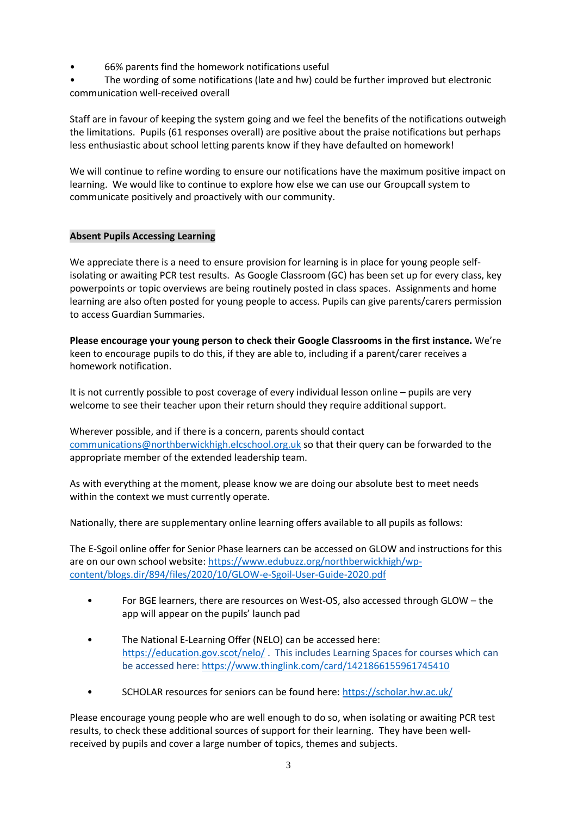• 66% parents find the homework notifications useful

• The wording of some notifications (late and hw) could be further improved but electronic communication well-received overall

Staff are in favour of keeping the system going and we feel the benefits of the notifications outweigh the limitations. Pupils (61 responses overall) are positive about the praise notifications but perhaps less enthusiastic about school letting parents know if they have defaulted on homework!

We will continue to refine wording to ensure our notifications have the maximum positive impact on learning. We would like to continue to explore how else we can use our Groupcall system to communicate positively and proactively with our community.

# **Absent Pupils Accessing Learning**

We appreciate there is a need to ensure provision for learning is in place for young people selfisolating or awaiting PCR test results. As Google Classroom (GC) has been set up for every class, key powerpoints or topic overviews are being routinely posted in class spaces. Assignments and home learning are also often posted for young people to access. Pupils can give parents/carers permission to access Guardian Summaries.

**Please encourage your young person to check their Google Classrooms in the first instance.** We're keen to encourage pupils to do this, if they are able to, including if a parent/carer receives a homework notification.

It is not currently possible to post coverage of every individual lesson online – pupils are very welcome to see their teacher upon their return should they require additional support.

Wherever possible, and if there is a concern, parents should contact [communications@northberwickhigh.elcschool.org.uk](mailto:communications@northberwickhigh.elcschool.org.uk) so that their query can be forwarded to the appropriate member of the extended leadership team.

As with everything at the moment, please know we are doing our absolute best to meet needs within the context we must currently operate.

Nationally, there are supplementary online learning offers available to all pupils as follows:

The E-Sgoil online offer for Senior Phase learners can be accessed on GLOW and instructions for this are on our own school website: [https://www.edubuzz.org/northberwickhigh/wp](https://www.edubuzz.org/northberwickhigh/wp-content/blogs.dir/894/files/2020/10/GLOW-e-Sgoil-User-Guide-2020.pdf)[content/blogs.dir/894/files/2020/10/GLOW-e-Sgoil-User-Guide-2020.pdf](https://www.edubuzz.org/northberwickhigh/wp-content/blogs.dir/894/files/2020/10/GLOW-e-Sgoil-User-Guide-2020.pdf)

- For BGE learners, there are resources on West-OS, also accessed through GLOW the app will appear on the pupils' launch pad
- The National E-Learning Offer (NELO) can be accessed here: <https://education.gov.scot/nelo/> . This includes Learning Spaces for courses which can be accessed here:<https://www.thinglink.com/card/1421866155961745410>
- SCHOLAR resources for seniors can be found here:<https://scholar.hw.ac.uk/>

Please encourage young people who are well enough to do so, when isolating or awaiting PCR test results, to check these additional sources of support for their learning. They have been wellreceived by pupils and cover a large number of topics, themes and subjects.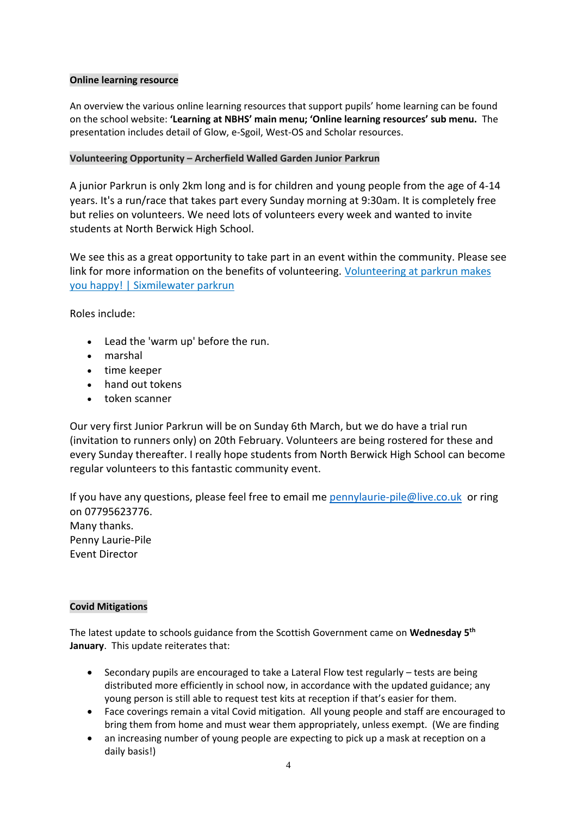## **Online learning resource**

An overview the various online learning resources that support pupils' home learning can be found on the school website: **'Learning at NBHS' main menu; 'Online learning resources' sub menu.** The presentation includes detail of Glow, e-Sgoil, West-OS and Scholar resources.

## **Volunteering Opportunity – Archerfield Walled Garden Junior Parkrun**

A junior Parkrun is only 2km long and is for children and young people from the age of 4-14 years. It's a run/race that takes part every Sunday morning at 9:30am. It is completely free but relies on volunteers. We need lots of volunteers every week and wanted to invite students at North Berwick High School.

We see this as a great opportunity to take part in an event within the community. Please see link for more information on the benefits of volunteering. Volunteering at parkrun makes [you happy! | Sixmilewater parkrun](https://www.parkrun.org.uk/sixmilewater/news/2019/11/22/volunteering-at-parkrun-is-good-for-you/)

Roles include:

- Lead the 'warm up' before the run.
- marshal
- time keeper
- hand out tokens
- token scanner

Our very first Junior Parkrun will be on Sunday 6th March, but we do have a trial run (invitation to runners only) on 20th February. Volunteers are being rostered for these and every Sunday thereafter. I really hope students from North Berwick High School can become regular volunteers to this fantastic community event.

If you have any questions, please feel free to email me [pennylaurie-pile@live.co.uk](mailto:pennylaurie-pile@live.co.uk) or ring on 07795623776. Many thanks. Penny Laurie-Pile Event Director

# **Covid Mitigations**

The latest update to schools guidance from the Scottish Government came on **Wednesday 5th January**. This update reiterates that:

- Secondary pupils are encouraged to take a Lateral Flow test regularly tests are being distributed more efficiently in school now, in accordance with the updated guidance; any young person is still able to request test kits at reception if that's easier for them.
- Face coverings remain a vital Covid mitigation. All young people and staff are encouraged to bring them from home and must wear them appropriately, unless exempt. (We are finding
- an increasing number of young people are expecting to pick up a mask at reception on a daily basis!)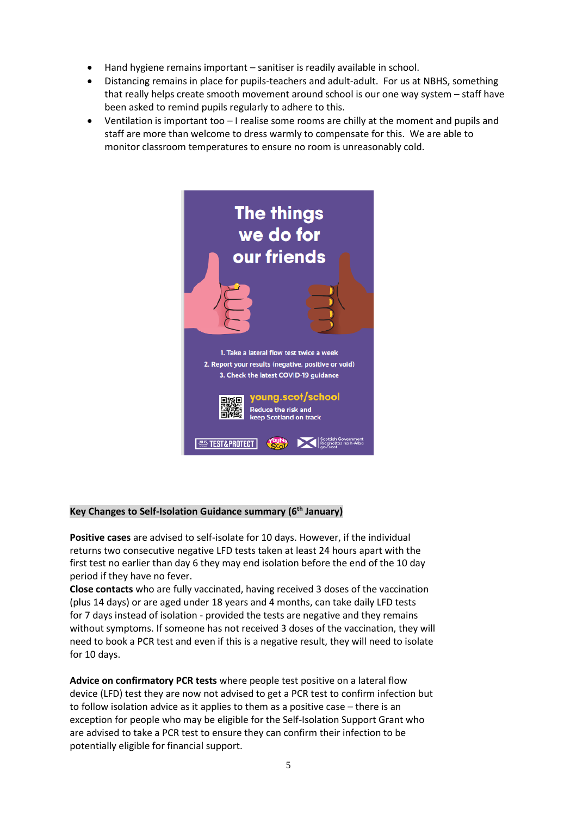- Hand hygiene remains important sanitiser is readily available in school.
- Distancing remains in place for pupils-teachers and adult-adult. For us at NBHS, something that really helps create smooth movement around school is our one way system – staff have been asked to remind pupils regularly to adhere to this.
- Ventilation is important too I realise some rooms are chilly at the moment and pupils and staff are more than welcome to dress warmly to compensate for this. We are able to monitor classroom temperatures to ensure no room is unreasonably cold.



# **Key Changes to Self-Isolation Guidance summary (6th January)**

**Positive cases** are advised to self-isolate for 10 days. However, if the individual returns two consecutive negative LFD tests taken at least 24 hours apart with the first test no earlier than day 6 they may end isolation before the end of the 10 day period if they have no fever.

**Close contacts** who are fully vaccinated, having received 3 doses of the vaccination (plus 14 days) or are aged under 18 years and 4 months, can take daily LFD tests for 7 days instead of isolation - provided the tests are negative and they remains without symptoms. If someone has not received 3 doses of the vaccination, they will need to book a PCR test and even if this is a negative result, they will need to isolate for 10 days.

**Advice on confirmatory PCR tests** where people test positive on a lateral flow device (LFD) test they are now not advised to get a PCR test to confirm infection but to follow isolation advice as it applies to them as a positive case – there is an exception for people who may be eligible for the Self-Isolation Support Grant who are advised to take a PCR test to ensure they can confirm their infection to be potentially eligible for financial support.